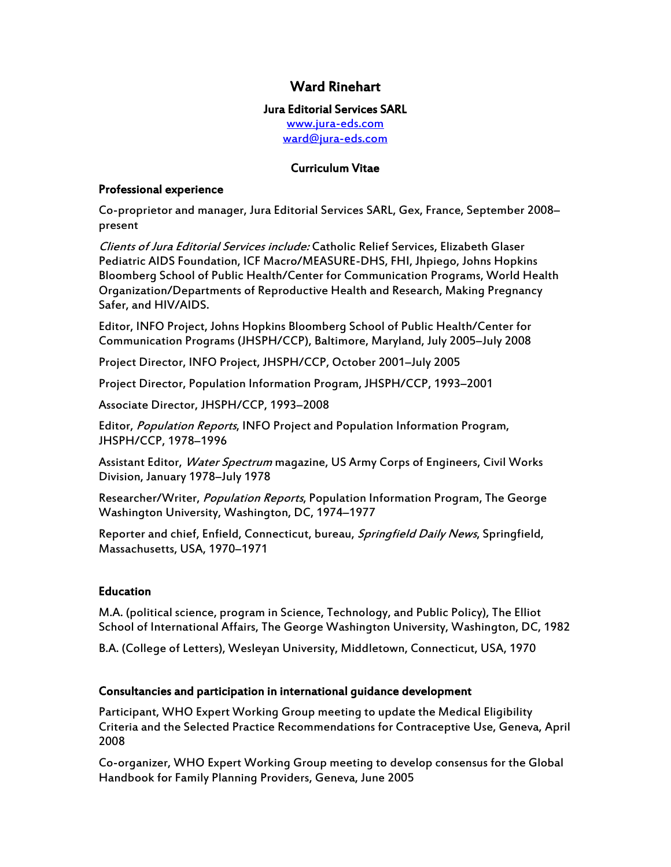# Ward Rinehart

#### Jura Editorial Services SARL

<www.jura-eds.com> [ward@jura-eds.com](mailto:ward@jura-eds.com)

### Curriculum Vitae

#### Professional experience

Co-proprietor and manager, Jura Editorial Services SARL, Gex, France, September 2008– present

Clients of Jura Editorial Services include: Catholic Relief Services, Elizabeth Glaser Pediatric AIDS Foundation, ICF Macro/MEASURE-DHS, FHI, Jhpiego, Johns Hopkins Bloomberg School of Public Health/Center for Communication Programs, World Health Organization/Departments of Reproductive Health and Research, Making Pregnancy Safer, and HIV/AIDS.

Editor, INFO Project, Johns Hopkins Bloomberg School of Public Health/Center for Communication Programs (JHSPH/CCP), Baltimore, Maryland, July 2005–July 2008

Project Director, INFO Project, JHSPH/CCP, October 2001–July 2005

Project Director, Population Information Program, JHSPH/CCP, 1993–2001

Associate Director, JHSPH/CCP, 1993–2008

Editor, Population Reports, INFO Project and Population Information Program, JHSPH/CCP, 1978–1996

Assistant Editor, Water Spectrum magazine, US Army Corps of Engineers, Civil Works Division, January 1978–July 1978

Researcher/Writer, Population Reports, Population Information Program, The George Washington University, Washington, DC, 1974–1977

Reporter and chief, Enfield, Connecticut, bureau, Springfield Daily News, Springfield, Massachusetts, USA, 1970–1971

## Education

M.A. (political science, program in Science, Technology, and Public Policy), The Elliot School of International Affairs, The George Washington University, Washington, DC, 1982

B.A. (College of Letters), Wesleyan University, Middletown, Connecticut, USA, 1970

## Consultancies and participation in international guidance development

Participant, WHO Expert Working Group meeting to update the Medical Eligibility Criteria and the Selected Practice Recommendations for Contraceptive Use, Geneva, April 2008

Co-organizer, WHO Expert Working Group meeting to develop consensus for the Global Handbook for Family Planning Providers, Geneva, June 2005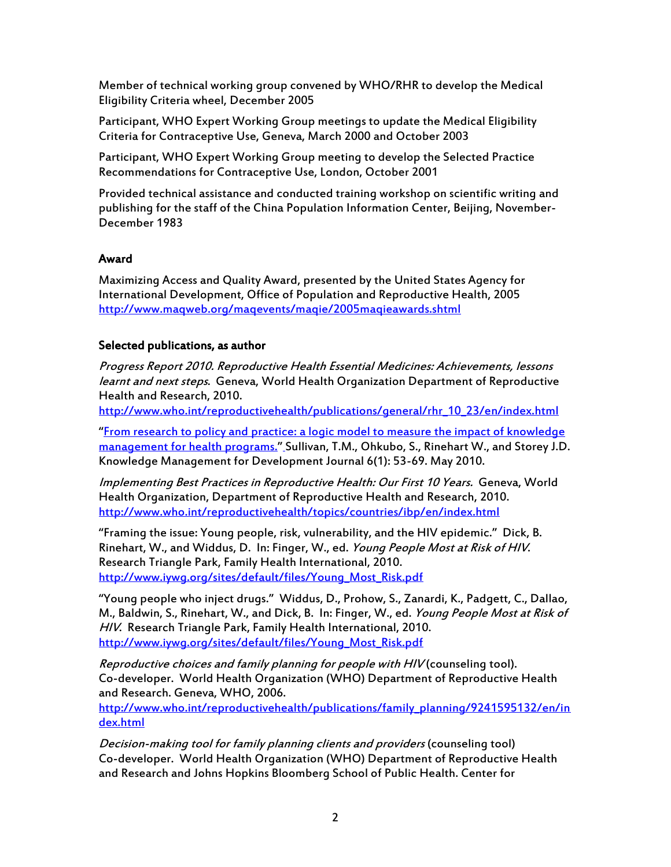Member of technical working group convened by WHO/RHR to develop the Medical Eligibility Criteria wheel, December 2005

Participant, WHO Expert Working Group meetings to update the Medical Eligibility Criteria for Contraceptive Use, Geneva, March 2000 and October 2003

Participant, WHO Expert Working Group meeting to develop the Selected Practice Recommendations for Contraceptive Use, London, October 2001

Provided technical assistance and conducted training workshop on scientific writing and publishing for the staff of the China Population Information Center, Beijing, November-December 1983

#### Award

Maximizing Access and Quality Award, presented by the United States Agency for International Development, Office of Population and Reproductive Health, 2005 <http://www.maqweb.org/maqevents/maqie/2005maqieawards.shtml>

#### Selected publications, as author

Progress Report 2010. Reproductive Health Essential Medicines: Achievements, lessons learnt and next steps. Geneva, World Health Organization Department of Reproductive Health and Research, 2010.

[http://www.who.int/reproductivehealth/publications/general/rhr\\_10\\_23/en/index.html](http://www.who.int/reproductivehealth/publications/general/rhr_10_23/en/index.html)

"[From research to policy and practice: a logic model to measure the impact of knowledge](http://www.informaworld.com/smpp/title~db=all~content=g928826833) [management for health programs.](http://www.informaworld.com/smpp/title~db=all~content=g928826833)" [S](http://www.informaworld.com/smpp/title~db=all~content=g928826833)ullivan, T.M., Ohkubo, S., Rinehart W., and Storey J.D. Knowledge Management for Development Journal 6(1): 53-69. May 2010.

Implementing Best Practices in Reproductive Health: Our First 10 Years. Geneva, World Health Organization, Department of Reproductive Health and Research, 2010. <http://www.who.int/reproductivehealth/topics/countries/ibp/en/index.html>

"Framing the issue: Young people, risk, vulnerability, and the HIV epidemic." Dick, B. Rinehart, W., and Widdus, D. In: Finger, W., ed. Young People Most at Risk of HIV. Research Triangle Park, Family Health International, 2010. [http://www.iywg.org/sites/default/files/Young\\_Most\\_Risk.pdf](http://www.iywg.org/sites/default/files/Young_Most_Risk.pdf)

"Young people who inject drugs." Widdus, D., Prohow, S., Zanardi, K., Padgett, C., Dallao, M., Baldwin, S., Rinehart, W., and Dick, B. In: Finger, W., ed. Young People Most at Risk of HIV. Research Triangle Park, Family Health International, 2010. [http://www.iywg.org/sites/default/files/Young\\_Most\\_Risk.pdf](http://www.iywg.org/sites/default/files/Young_Most_Risk.pdf)

Reproductive choices and family planning for people with HIV (counseling tool). Co-developer. World Health Organization (WHO) Department of Reproductive Health and Research. Geneva, WHO, 2006.

[http://www.who.int/reproductivehealth/publications/family\\_planning/9241595132/en/in](http://www.who.int/reproductivehealth/publications/family_planning/9241595132/en/index.html) [dex.html](http://www.who.int/reproductivehealth/publications/family_planning/9241595132/en/index.html)

Decision-making tool for family planning clients and providers (counseling tool) Co-developer. World Health Organization (WHO) Department of Reproductive Health and Research and Johns Hopkins Bloomberg School of Public Health. Center for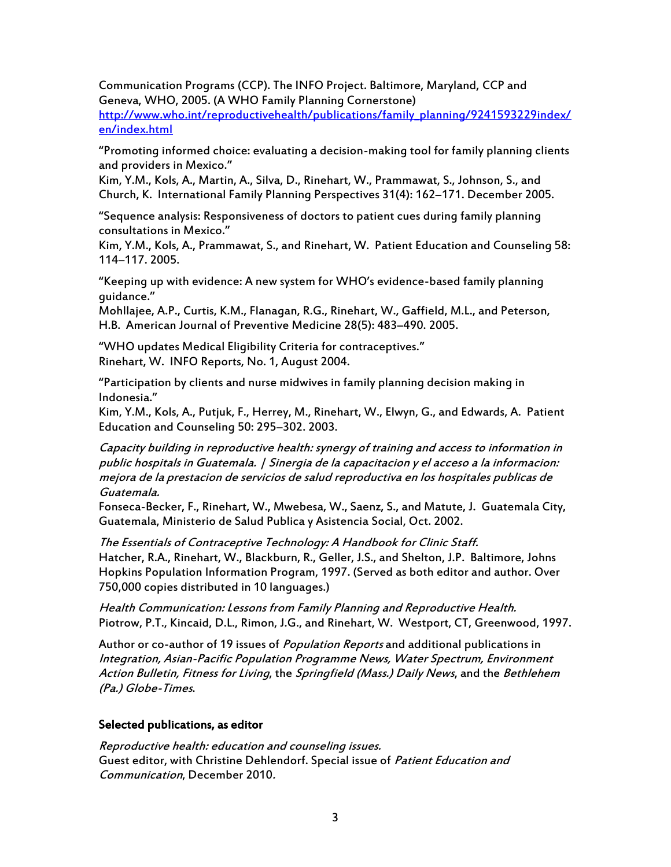Communication Programs (CCP). The INFO Project. Baltimore, Maryland, CCP and Geneva, WHO, 2005. (A WHO Family Planning Cornerstone)

[http://www.who.int/reproductivehealth/publications/family\\_planning/9241593229index/](http://www.who.int/reproductivehealth/publications/family_planning/9241593229index/en/index.html) [en/index.html](http://www.who.int/reproductivehealth/publications/family_planning/9241593229index/en/index.html)

"Promoting informed choice: evaluating a decision-making tool for family planning clients and providers in Mexico."

Kim, Y.M., Kols, A., Martin, A., Silva, D., Rinehart, W., Prammawat, S., Johnson, S., and Church, K. International Family Planning Perspectives 31(4): 162–171. December 2005.

"Sequence analysis: Responsiveness of doctors to patient cues during family planning consultations in Mexico."

Kim, Y.M., Kols, A., Prammawat, S., and Rinehart, W. Patient Education and Counseling 58: 114–117. 2005.

"Keeping up with evidence: A new system for WHO's evidence-based family planning guidance."

Mohllajee, A.P., Curtis, K.M., Flanagan, R.G., Rinehart, W., Gaffield, M.L., and Peterson, H.B. American Journal of Preventive Medicine 28(5): 483–490. 2005.

"WHO updates Medical Eligibility Criteria for contraceptives." Rinehart, W. INFO Reports, No. 1, August 2004.

"Participation by clients and nurse midwives in family planning decision making in Indonesia."

Kim, Y.M., Kols, A., Putjuk, F., Herrey, M., Rinehart, W., Elwyn, G., and Edwards, A. Patient Education and Counseling 50: 295–302. 2003.

Capacity building in reproductive health: synergy of training and access to information in public hospitals in Guatemala. | Sinergia de la capacitacion y el acceso a la informacion: mejora de la prestacion de servicios de salud reproductiva en los hospitales publicas de Guatemala.

Fonseca-Becker, F., Rinehart, W., Mwebesa, W., Saenz, S., and Matute, J. Guatemala City, Guatemala, Ministerio de Salud Publica y Asistencia Social, Oct. 2002.

The Essentials of Contraceptive Technology: A Handbook for Clinic Staff. Hatcher, R.A., Rinehart, W., Blackburn, R., Geller, J.S., and Shelton, J.P. Baltimore, Johns Hopkins Population Information Program, 1997. (Served as both editor and author. Over 750,000 copies distributed in 10 languages.)

Health Communication: Lessons from Family Planning and Reproductive Health. Piotrow, P.T., Kincaid, D.L., Rimon, J.G., and Rinehart, W. Westport, CT, Greenwood, 1997.

Author or co-author of 19 issues of *Population Reports* and additional publications in Integration, Asian-Pacific Population Programme News, Water Spectrum, Environment Action Bulletin, Fitness for Living, the Springfield (Mass.) Daily News, and the Bethlehem (Pa.) Globe-Times.

## Selected publications, as editor

Reproductive health: education and counseling issues. Guest editor, with Christine Dehlendorf. Special issue of Patient Education and Communication, December 2010.